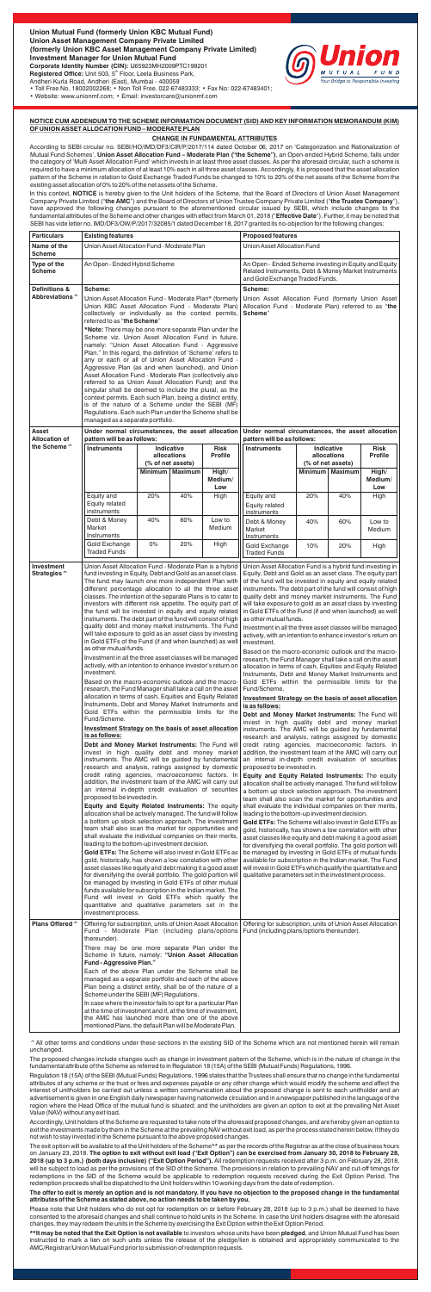

• Toll Free No. 18002002268; • Non Toll Free. 022-67483333; • Fax No: 022-67483401; • Website: www.unionmf.com; • Email: investorcare@unionmf.com

# **NOTICE CUM ADDENDUM TO THE SCHEME INFORMATION DOCUMENT (SID) AND KEY INFORMATION MEMORANDUM (KIM) OF UNION ASSET ALLOCATION FUND – MODERATE PLAN**

### **CHANGE IN FUNDAMENTAL ATTRIBUTES**

According to SEBI circular no. SEBI/HO/IMD/DF3/CIR/P/2017/114 dated October 06, 2017 on 'Categorization and Rationalization of Mutual Fund Schemes', **Union Asset Allocation Fund – Moderate Plan ("the Scheme")**, an Open-ended Hybrid Scheme, falls under the category of 'Multi Asset Allocation Fund' which invests in at least three asset classes. As per the aforesaid circular, such a scheme is required to have a minimum allocation of at least 10% each in all three asset classes. Accordingly, it is proposed that the asset allocation pattern of the Scheme in relation to Gold Exchange Traded Funds be changed to 10% to 20% of the net assets of the Scheme from the existing asset allocation of 0% to 20% of the net assets of the Scheme.

In this context, **NOTICE** is hereby given to the Unit holders of the Scheme, that the Board of Directors of Union Asset Management Company Private Limited ("**the AMC**") and the Board of Directors of Union Trustee Company Private Limited ("**the Trustee Company**"), have approved the following changes pursuant to the aforementioned circular issued by SEBI, which include changes to fundamental attributes of the Scheme and other changes with effect from March 01, 2018 ("**Effective Date**"). Further, it may be noted that SEBI has vide letter no. IMD/DF3/OW/P/2017/32085/1 dated December 18, 2017 granted its no-objection for the following changes:

^All other terms and conditions under these sections in the existing SID of the Scheme which are not mentioned herein will remain unchanged.

The proposed changes include changes such as change in investment pattern of the Scheme, which is in the nature of change in the fundamental attribute of the Scheme as referred to in Regulation 18 (15A) of the SEBI (Mutual Funds) Regulations, 1996.

Regulation 18 (15A) of the SEBI (Mutual Funds) Regulations, 1996 states that the Trustees shall ensure that no change in the fundamental attributes of any scheme or the trust or fees and expenses payable or any other change which would modify the scheme and affect the interest of unitholders be carried out unless a written communication about the proposed change is sent to each unitholder and an advertisement is given in one English daily newspaper having nationwide circulation and in a newspaper published in the language of the region where the Head Office of the mutual fund is situated; and the unitholders are given an option to exit at the prevailing Net Asset Value (NAV) without any exit load.

Accordingly, Unit holders of the Scheme are requested to take note of the aforesaid proposed changes, and are hereby given an option to exit the investments made by them in the Scheme at the prevailing NAV without exit load, as per the process stated herein below, if they do not wish to stay invested in the Scheme pursuant to the above proposed changes.

The exit option will be available to all the Unit holders of the Scheme\*\* as per the records of the Registrar as at the close of business hours on January 23, 2018. **The option to exit without exit load ("Exit Option") can be exercised from January 30, 2018 to February 28, 2018 (up to 3 p.m.) (both days inclusive) ("Exit Option Period").** All redemption requests received after 3 p.m. on February 28, 2018, will be subject to load as per the provisions of the SID of the Scheme. The provisions in relation to prevailing NAV and cut-off timings for redemptions in the SID of the Scheme would be applicable to redemption requests received during the Exit Option Period. The redemption proceeds shall be dispatched to the Unit holders within 10 working days from the date of redemption.

### **The offer to exit is merely an option and is not mandatory. If you have no objection to the proposed change in the fundamental attributes of the Scheme as stated above, no action needs to be taken by you.**

Please note that Unit holders who do not opt for redemption on or before February 28, 2018 (up to 3 p.m.) shall be deemed to have consented to the aforesaid changes and shall continue to hold units in the Scheme. In case the Unit holders disagree with the aforesaid changes, they may redeem the units in the Scheme by exercising the Exit Option within the Exit Option Period.

**\*\*It may be noted that the Exit Option is not available** to investors whose units have been **pledged**, and Union Mutual Fund has been instructed to mark a lien on such units unless the release of the pledge/lien is obtained and appropriately communicated to the AMC/Registrar/Union Mutual Fund prior to submission of redemption requests.

| <b>Particulars</b>                   | <b>Existing features</b>                                                                                                                                                                                                                                                                                                                                                                                                                                                                                                                                                                                                                                                                                                                                                                                                                                                                                                                                                                                                                                                                                                                                                                                                                                                                                                                                                                                                                                                                                                                                                                                                                                                                                                                                                                                                                                                                                                                                                                                                                                                                                                                                                                                                                                                                                                                                                                                                                                           |                                                                      |     |                         | <b>Proposed features</b>                                                                                                                                                                                                                                                                                                                                                                                                                                                                                                                                                                                                                                                                                                                                                                                                                                                                                                                                                                                                                                                                                                                                                                                                                                                                                                                                                                                                                                                                                                                                                                                                                                                                                                                                                                                                                                                                                                                                                                                                                                                                                                                                                                                                                                             |                                                                      |     |                         |
|--------------------------------------|--------------------------------------------------------------------------------------------------------------------------------------------------------------------------------------------------------------------------------------------------------------------------------------------------------------------------------------------------------------------------------------------------------------------------------------------------------------------------------------------------------------------------------------------------------------------------------------------------------------------------------------------------------------------------------------------------------------------------------------------------------------------------------------------------------------------------------------------------------------------------------------------------------------------------------------------------------------------------------------------------------------------------------------------------------------------------------------------------------------------------------------------------------------------------------------------------------------------------------------------------------------------------------------------------------------------------------------------------------------------------------------------------------------------------------------------------------------------------------------------------------------------------------------------------------------------------------------------------------------------------------------------------------------------------------------------------------------------------------------------------------------------------------------------------------------------------------------------------------------------------------------------------------------------------------------------------------------------------------------------------------------------------------------------------------------------------------------------------------------------------------------------------------------------------------------------------------------------------------------------------------------------------------------------------------------------------------------------------------------------------------------------------------------------------------------------------------------------|----------------------------------------------------------------------|-----|-------------------------|----------------------------------------------------------------------------------------------------------------------------------------------------------------------------------------------------------------------------------------------------------------------------------------------------------------------------------------------------------------------------------------------------------------------------------------------------------------------------------------------------------------------------------------------------------------------------------------------------------------------------------------------------------------------------------------------------------------------------------------------------------------------------------------------------------------------------------------------------------------------------------------------------------------------------------------------------------------------------------------------------------------------------------------------------------------------------------------------------------------------------------------------------------------------------------------------------------------------------------------------------------------------------------------------------------------------------------------------------------------------------------------------------------------------------------------------------------------------------------------------------------------------------------------------------------------------------------------------------------------------------------------------------------------------------------------------------------------------------------------------------------------------------------------------------------------------------------------------------------------------------------------------------------------------------------------------------------------------------------------------------------------------------------------------------------------------------------------------------------------------------------------------------------------------------------------------------------------------------------------------------------------------|----------------------------------------------------------------------|-----|-------------------------|
| Name of the                          | Union Asset Allocation Fund - Moderate Plan                                                                                                                                                                                                                                                                                                                                                                                                                                                                                                                                                                                                                                                                                                                                                                                                                                                                                                                                                                                                                                                                                                                                                                                                                                                                                                                                                                                                                                                                                                                                                                                                                                                                                                                                                                                                                                                                                                                                                                                                                                                                                                                                                                                                                                                                                                                                                                                                                        |                                                                      |     |                         | Union Asset Allocation Fund                                                                                                                                                                                                                                                                                                                                                                                                                                                                                                                                                                                                                                                                                                                                                                                                                                                                                                                                                                                                                                                                                                                                                                                                                                                                                                                                                                                                                                                                                                                                                                                                                                                                                                                                                                                                                                                                                                                                                                                                                                                                                                                                                                                                                                          |                                                                      |     |                         |
| Scheme<br>Type of the<br>Scheme      | An Open - Ended Hybrid Scheme                                                                                                                                                                                                                                                                                                                                                                                                                                                                                                                                                                                                                                                                                                                                                                                                                                                                                                                                                                                                                                                                                                                                                                                                                                                                                                                                                                                                                                                                                                                                                                                                                                                                                                                                                                                                                                                                                                                                                                                                                                                                                                                                                                                                                                                                                                                                                                                                                                      |                                                                      |     |                         | An Open - Ended Scheme investing in Equity and Equity<br>Related Instruments, Debt & Money Market Instruments                                                                                                                                                                                                                                                                                                                                                                                                                                                                                                                                                                                                                                                                                                                                                                                                                                                                                                                                                                                                                                                                                                                                                                                                                                                                                                                                                                                                                                                                                                                                                                                                                                                                                                                                                                                                                                                                                                                                                                                                                                                                                                                                                        |                                                                      |     |                         |
| <b>Definitions &amp;</b>             | Scheme:                                                                                                                                                                                                                                                                                                                                                                                                                                                                                                                                                                                                                                                                                                                                                                                                                                                                                                                                                                                                                                                                                                                                                                                                                                                                                                                                                                                                                                                                                                                                                                                                                                                                                                                                                                                                                                                                                                                                                                                                                                                                                                                                                                                                                                                                                                                                                                                                                                                            |                                                                      |     |                         | and Gold Exchange Traded Funds.<br>Scheme:                                                                                                                                                                                                                                                                                                                                                                                                                                                                                                                                                                                                                                                                                                                                                                                                                                                                                                                                                                                                                                                                                                                                                                                                                                                                                                                                                                                                                                                                                                                                                                                                                                                                                                                                                                                                                                                                                                                                                                                                                                                                                                                                                                                                                           |                                                                      |     |                         |
| Abbreviations ^                      | Union Asset Allocation Fund - Moderate Plan* (formerly<br>Union KBC Asset Allocation Fund - Moderate Plan)<br>collectively or individually as the context permits,<br>referred to as "the Scheme"                                                                                                                                                                                                                                                                                                                                                                                                                                                                                                                                                                                                                                                                                                                                                                                                                                                                                                                                                                                                                                                                                                                                                                                                                                                                                                                                                                                                                                                                                                                                                                                                                                                                                                                                                                                                                                                                                                                                                                                                                                                                                                                                                                                                                                                                  |                                                                      |     |                         | Union Asset Allocation Fund (formerly Union Asset<br>Allocation Fund - Moderate Plan) referred to as "the<br>Scheme"                                                                                                                                                                                                                                                                                                                                                                                                                                                                                                                                                                                                                                                                                                                                                                                                                                                                                                                                                                                                                                                                                                                                                                                                                                                                                                                                                                                                                                                                                                                                                                                                                                                                                                                                                                                                                                                                                                                                                                                                                                                                                                                                                 |                                                                      |     |                         |
|                                      | *Note: There may be one more separate Plan under the<br>Scheme viz. Union Asset Allocation Fund in future,<br>namely: "Union Asset Allocation Fund - Aggressive<br>Plan." In this regard, the definition of 'Scheme' refers to<br>any or each or all of Union Asset Allocation Fund -<br>Aggressive Plan (as and when launched), and Union<br>Asset Allocation Fund - Moderate Plan (collectively also<br>referred to as Union Asset Allocation Fund) and the<br>singular shall be deemed to include the plural, as the<br>context permits. Each such Plan, being a distinct entity,<br>is of the nature of a Scheme under the SEBI (MF)<br>Regulations. Each such Plan under the Scheme shall be<br>managed as a separate portfolio.                                                                                                                                                                                                                                                                                                                                                                                                                                                                                                                                                                                                                                                                                                                                                                                                                                                                                                                                                                                                                                                                                                                                                                                                                                                                                                                                                                                                                                                                                                                                                                                                                                                                                                                              |                                                                      |     |                         |                                                                                                                                                                                                                                                                                                                                                                                                                                                                                                                                                                                                                                                                                                                                                                                                                                                                                                                                                                                                                                                                                                                                                                                                                                                                                                                                                                                                                                                                                                                                                                                                                                                                                                                                                                                                                                                                                                                                                                                                                                                                                                                                                                                                                                                                      |                                                                      |     |                         |
| Asset                                | Under normal circumstances, the asset allocation                                                                                                                                                                                                                                                                                                                                                                                                                                                                                                                                                                                                                                                                                                                                                                                                                                                                                                                                                                                                                                                                                                                                                                                                                                                                                                                                                                                                                                                                                                                                                                                                                                                                                                                                                                                                                                                                                                                                                                                                                                                                                                                                                                                                                                                                                                                                                                                                                   |                                                                      |     |                         | Under normal circumstances, the asset allocation                                                                                                                                                                                                                                                                                                                                                                                                                                                                                                                                                                                                                                                                                                                                                                                                                                                                                                                                                                                                                                                                                                                                                                                                                                                                                                                                                                                                                                                                                                                                                                                                                                                                                                                                                                                                                                                                                                                                                                                                                                                                                                                                                                                                                     |                                                                      |     |                         |
| <b>Allocation of</b><br>the Scheme ^ | pattern will be as follows:<br>Indicative<br><b>Instruments</b><br>Risk                                                                                                                                                                                                                                                                                                                                                                                                                                                                                                                                                                                                                                                                                                                                                                                                                                                                                                                                                                                                                                                                                                                                                                                                                                                                                                                                                                                                                                                                                                                                                                                                                                                                                                                                                                                                                                                                                                                                                                                                                                                                                                                                                                                                                                                                                                                                                                                            |                                                                      |     |                         | pattern will be as follows:<br><b>Instruments</b><br>Indicative<br>Risk                                                                                                                                                                                                                                                                                                                                                                                                                                                                                                                                                                                                                                                                                                                                                                                                                                                                                                                                                                                                                                                                                                                                                                                                                                                                                                                                                                                                                                                                                                                                                                                                                                                                                                                                                                                                                                                                                                                                                                                                                                                                                                                                                                                              |                                                                      |     |                         |
|                                      |                                                                                                                                                                                                                                                                                                                                                                                                                                                                                                                                                                                                                                                                                                                                                                                                                                                                                                                                                                                                                                                                                                                                                                                                                                                                                                                                                                                                                                                                                                                                                                                                                                                                                                                                                                                                                                                                                                                                                                                                                                                                                                                                                                                                                                                                                                                                                                                                                                                                    | allocations<br>(% of net assets)<br><b>Minimum</b><br><b>Maximum</b> |     | <b>Profile</b><br>High/ |                                                                                                                                                                                                                                                                                                                                                                                                                                                                                                                                                                                                                                                                                                                                                                                                                                                                                                                                                                                                                                                                                                                                                                                                                                                                                                                                                                                                                                                                                                                                                                                                                                                                                                                                                                                                                                                                                                                                                                                                                                                                                                                                                                                                                                                                      | allocations<br>(% of net assets)<br><b>Minimum</b><br><b>Maximum</b> |     | <b>Profile</b><br>High/ |
|                                      |                                                                                                                                                                                                                                                                                                                                                                                                                                                                                                                                                                                                                                                                                                                                                                                                                                                                                                                                                                                                                                                                                                                                                                                                                                                                                                                                                                                                                                                                                                                                                                                                                                                                                                                                                                                                                                                                                                                                                                                                                                                                                                                                                                                                                                                                                                                                                                                                                                                                    |                                                                      |     | Medium/<br>Low          |                                                                                                                                                                                                                                                                                                                                                                                                                                                                                                                                                                                                                                                                                                                                                                                                                                                                                                                                                                                                                                                                                                                                                                                                                                                                                                                                                                                                                                                                                                                                                                                                                                                                                                                                                                                                                                                                                                                                                                                                                                                                                                                                                                                                                                                                      |                                                                      |     | Medium/<br>Low          |
|                                      | Equity and<br>Equity related<br>instruments                                                                                                                                                                                                                                                                                                                                                                                                                                                                                                                                                                                                                                                                                                                                                                                                                                                                                                                                                                                                                                                                                                                                                                                                                                                                                                                                                                                                                                                                                                                                                                                                                                                                                                                                                                                                                                                                                                                                                                                                                                                                                                                                                                                                                                                                                                                                                                                                                        | 20%                                                                  | 40% | High                    | Equity and<br>Equity related<br>instruments                                                                                                                                                                                                                                                                                                                                                                                                                                                                                                                                                                                                                                                                                                                                                                                                                                                                                                                                                                                                                                                                                                                                                                                                                                                                                                                                                                                                                                                                                                                                                                                                                                                                                                                                                                                                                                                                                                                                                                                                                                                                                                                                                                                                                          | 20%                                                                  | 40% | High                    |
|                                      | Debt & Money<br>Market<br>Instruments                                                                                                                                                                                                                                                                                                                                                                                                                                                                                                                                                                                                                                                                                                                                                                                                                                                                                                                                                                                                                                                                                                                                                                                                                                                                                                                                                                                                                                                                                                                                                                                                                                                                                                                                                                                                                                                                                                                                                                                                                                                                                                                                                                                                                                                                                                                                                                                                                              | 40%                                                                  | 60% | Low to<br>Medium        | Debt & Money<br>Market<br>Instruments                                                                                                                                                                                                                                                                                                                                                                                                                                                                                                                                                                                                                                                                                                                                                                                                                                                                                                                                                                                                                                                                                                                                                                                                                                                                                                                                                                                                                                                                                                                                                                                                                                                                                                                                                                                                                                                                                                                                                                                                                                                                                                                                                                                                                                | 40%                                                                  | 60% | Low to<br>Medium        |
|                                      | Gold Exchange<br><b>Traded Funds</b>                                                                                                                                                                                                                                                                                                                                                                                                                                                                                                                                                                                                                                                                                                                                                                                                                                                                                                                                                                                                                                                                                                                                                                                                                                                                                                                                                                                                                                                                                                                                                                                                                                                                                                                                                                                                                                                                                                                                                                                                                                                                                                                                                                                                                                                                                                                                                                                                                               | 0%                                                                   | 20% | High                    | Gold Exchange<br><b>Traded Funds</b>                                                                                                                                                                                                                                                                                                                                                                                                                                                                                                                                                                                                                                                                                                                                                                                                                                                                                                                                                                                                                                                                                                                                                                                                                                                                                                                                                                                                                                                                                                                                                                                                                                                                                                                                                                                                                                                                                                                                                                                                                                                                                                                                                                                                                                 | 10%                                                                  | 20% | High                    |
| Investment<br>Strategies ^           | fund investing in Equity, Debt and Gold as an asset class.<br>The fund may launch one more independent Plan with<br>different percentage allocation to all the three asset<br>classes. The intention of the separate Plans is to cater to<br>investors with different risk appetite. The equity part of<br>the fund will be invested in equity and equity related<br>instruments. The debt part of the fund will consist of high<br>quality debt and money market instruments. The Fund<br>will take exposure to gold as an asset class by investing<br>in Gold ETFs of the Fund (if and when launched) as well<br>as other mutual funds.<br>Investment in all the three asset classes will be managed<br>actively, with an intention to enhance investor's return on<br>investment.<br>Based on the macro-economic outlook and the macro-<br>research, the Fund Manager shall take a call on the asset<br>allocation in terms of cash, Equities and Equity Related<br>Instruments, Debt and Money Market Instruments and<br>Gold ETFs within the permissible limits for the<br>Fund/Scheme.<br><b>Investment Strategy on the basis of asset allocation</b><br>is as follows:<br>Debt and Money Market Instruments: The Fund will<br>invest in high quality debt and money market<br>instruments. The AMC will be guided by fundamental<br>research and analysis, ratings assigned by domestic<br>credit rating agencies, macroeconomic factors. In<br>addition, the investment team of the AMC will carry out<br>an internal in-depth credit evaluation of securities<br>proposed to be invested in.<br>Equity and Equity Related Instruments: The equity<br>allocation shall be actively managed. The fund will follow<br>a bottom up stock selection approach. The investment<br>team shall also scan the market for opportunities and<br>shall evaluate the individual companies on their merits,<br>leading to the bottom-up investment decision.<br>Gold ETFs: The Scheme will also invest in Gold ETFs as<br>gold, historically, has shown a low correlation with other<br>asset classes like equity and debt making it a good asset<br>for diversifying the overall portfolio. The gold portion will<br>be managed by investing in Gold ETFs of other mutual<br>funds available for subscription in the Indian market. The<br>Fund will invest in Gold ETFs which qualify the<br>quantitative and qualitative parameters set in the<br>investment process. |                                                                      |     |                         | Equity, Debt and Gold as an asset class. The equity part<br>of the fund will be invested in equity and equity related<br>instruments. The debt part of the fund will consist of high<br>quality debt and money market instruments. The Fund<br>will take exposure to gold as an asset class by investing<br>in Gold ETFs of the Fund (if and when launched) as well<br>as other mutual funds.<br>Investment in all the three asset classes will be managed<br>actively, with an intention to enhance investor's return on<br>investment.<br>Based on the macro-economic outlook and the macro-<br>research, the Fund Manager shall take a call on the asset<br>allocation in terms of cash, Equities and Equity Related<br>Instruments, Debt and Money Market Instruments and<br>Gold ETFs within the permissible limits for the<br>Fund/Scheme.<br>Investment Strategy on the basis of asset allocation<br>is as follows:<br>Debt and Money Market Instruments: The Fund will<br>invest in high quality debt and money market<br>instruments. The AMC will be guided by fundamental<br>research and analysis, ratings assigned by domestic<br>credit rating agencies, macroeconomic factors. In<br>addition, the investment team of the AMC will carry out<br>an internal in-depth credit evaluation of securities<br>proposed to be invested in.<br>Equity and Equity Related Instruments: The equity<br>allocation shall be actively managed. The fund will follow<br>a bottom up stock selection approach. The investment<br>team shall also scan the market for opportunities and<br>shall evaluate the individual companies on their merits,<br>leading to the bottom-up investment decision.<br>Gold ETFs: The Scheme will also invest in Gold ETFs as<br>gold, historically, has shown a low correlation with other<br>asset classes like equity and debt making it a good asset<br>for diversifying the overall portfolio. The gold portion will<br>be managed by investing in Gold ETFs of mutual funds<br>available for subscription in the Indian market. The Fund<br>will invest in Gold ETFs which qualify the quantitative and<br>qualitative parameters set in the investment process.<br>Offering for subscription, units of Union Asset Allocation |                                                                      |     |                         |
| Plans Offered ^                      | Offering for subscription, units of Union Asset Allocation<br>Fund - Moderate Plan (including plans/options<br>thereunder).<br>There may be one more separate Plan under the<br>Scheme in future, namely: "Union Asset Allocation<br>Fund - Aggressive Plan."<br>Each of the above Plan under the Scheme shall be<br>managed as a separate portfolio and each of the above<br>Plan being a distinct entity, shall be of the nature of a<br>Scheme under the SEBI (MF) Regulations.<br>In case where the investor fails to opt for a particular Plan<br>at the time of investment and if, at the time of investment,<br>the AMC has launched more than one of the above<br>mentioned Plans, the default Plan will be Moderate Plan.                                                                                                                                                                                                                                                                                                                                                                                                                                                                                                                                                                                                                                                                                                                                                                                                                                                                                                                                                                                                                                                                                                                                                                                                                                                                                                                                                                                                                                                                                                                                                                                                                                                                                                                                 |                                                                      |     |                         | Fund (including plans/options thereunder).                                                                                                                                                                                                                                                                                                                                                                                                                                                                                                                                                                                                                                                                                                                                                                                                                                                                                                                                                                                                                                                                                                                                                                                                                                                                                                                                                                                                                                                                                                                                                                                                                                                                                                                                                                                                                                                                                                                                                                                                                                                                                                                                                                                                                           |                                                                      |     |                         |